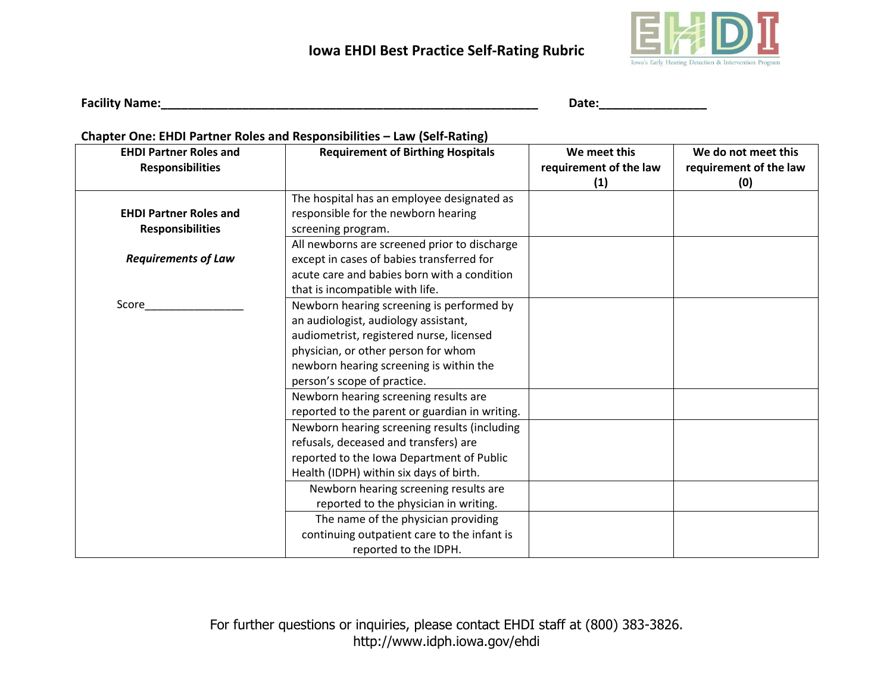

**Facility Name:\_\_\_\_\_\_\_\_\_\_\_\_\_\_\_\_\_\_\_\_\_\_\_\_\_\_\_\_\_\_\_\_\_\_\_\_\_\_\_\_\_\_\_\_\_\_\_\_\_\_\_\_\_\_\_\_ Date:\_\_\_\_\_\_\_\_\_\_\_\_\_\_\_\_**

### **Chapter One: EHDI Partner Roles and Responsibilities – Law (Self-Rating)**

| <b>EHDI Partner Roles and</b><br><b>Responsibilities</b> | <b>Requirement of Birthing Hospitals</b>                                                                                                                                      | We meet this<br>requirement of the law<br>(1) | We do not meet this<br>requirement of the law<br>(0) |
|----------------------------------------------------------|-------------------------------------------------------------------------------------------------------------------------------------------------------------------------------|-----------------------------------------------|------------------------------------------------------|
| <b>EHDI Partner Roles and</b><br><b>Responsibilities</b> | The hospital has an employee designated as<br>responsible for the newborn hearing<br>screening program.                                                                       |                                               |                                                      |
| <b>Requirements of Law</b>                               | All newborns are screened prior to discharge<br>except in cases of babies transferred for<br>acute care and babies born with a condition                                      |                                               |                                                      |
| Score                                                    | that is incompatible with life.<br>Newborn hearing screening is performed by<br>an audiologist, audiology assistant,<br>audiometrist, registered nurse, licensed              |                                               |                                                      |
|                                                          | physician, or other person for whom<br>newborn hearing screening is within the<br>person's scope of practice.                                                                 |                                               |                                                      |
|                                                          | Newborn hearing screening results are<br>reported to the parent or guardian in writing.                                                                                       |                                               |                                                      |
|                                                          | Newborn hearing screening results (including<br>refusals, deceased and transfers) are<br>reported to the Iowa Department of Public<br>Health (IDPH) within six days of birth. |                                               |                                                      |
|                                                          | Newborn hearing screening results are<br>reported to the physician in writing.                                                                                                |                                               |                                                      |
|                                                          | The name of the physician providing<br>continuing outpatient care to the infant is<br>reported to the IDPH.                                                                   |                                               |                                                      |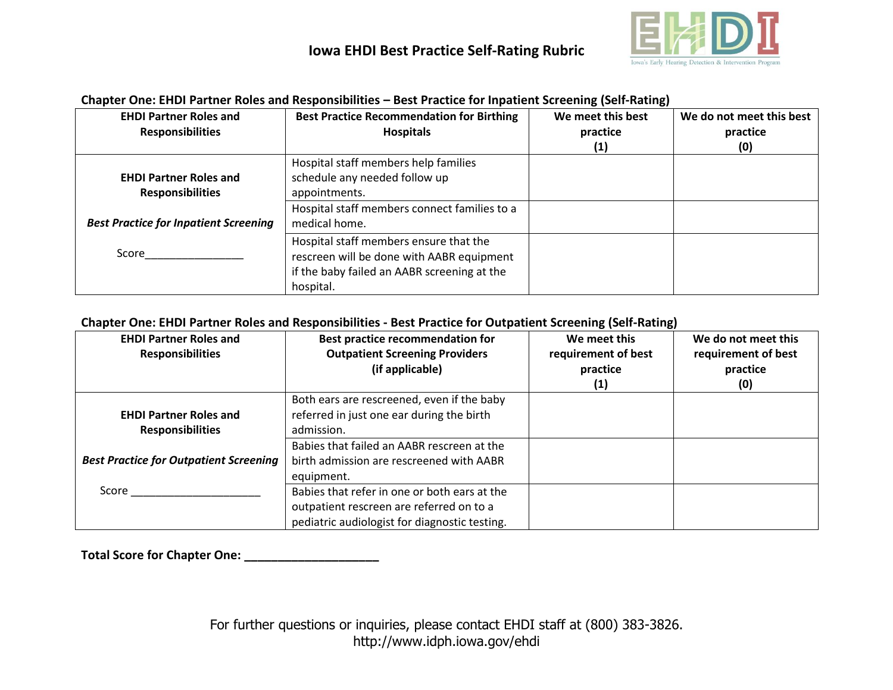

| <b>EHDI Partner Roles and</b>                | <b>Best Practice Recommendation for Birthing</b> | We meet this best | We do not meet this best |
|----------------------------------------------|--------------------------------------------------|-------------------|--------------------------|
| <b>Responsibilities</b>                      | <b>Hospitals</b>                                 | practice          | practice                 |
|                                              |                                                  | (1)               | (0)                      |
|                                              | Hospital staff members help families             |                   |                          |
| <b>EHDI Partner Roles and</b>                | schedule any needed follow up                    |                   |                          |
| <b>Responsibilities</b>                      | appointments.                                    |                   |                          |
|                                              | Hospital staff members connect families to a     |                   |                          |
| <b>Best Practice for Inpatient Screening</b> | medical home.                                    |                   |                          |
|                                              | Hospital staff members ensure that the           |                   |                          |
| Score                                        | rescreen will be done with AABR equipment        |                   |                          |
|                                              | if the baby failed an AABR screening at the      |                   |                          |
|                                              | hospital.                                        |                   |                          |

#### **Chapter One: EHDI Partner Roles and Responsibilities – Best Practice for Inpatient Screening (Self-Rating)**

#### **Chapter One: EHDI Partner Roles and Responsibilities - Best Practice for Outpatient Screening (Self-Rating)**

| <b>EHDI Partner Roles and</b><br><b>Responsibilities</b> | <b>Best practice recommendation for</b><br><b>Outpatient Screening Providers</b><br>(if applicable)                                                 | We meet this<br>requirement of best<br>practice<br>(1) | We do not meet this<br>requirement of best<br>practice<br>(0) |
|----------------------------------------------------------|-----------------------------------------------------------------------------------------------------------------------------------------------------|--------------------------------------------------------|---------------------------------------------------------------|
| <b>EHDI Partner Roles and</b><br><b>Responsibilities</b> | Both ears are rescreened, even if the baby<br>referred in just one ear during the birth<br>admission.<br>Babies that failed an AABR rescreen at the |                                                        |                                                               |
| <b>Best Practice for Outpatient Screening</b>            | birth admission are rescreened with AABR<br>equipment.                                                                                              |                                                        |                                                               |
| Score                                                    | Babies that refer in one or both ears at the<br>outpatient rescreen are referred on to a<br>pediatric audiologist for diagnostic testing.           |                                                        |                                                               |

**Total Score for Chapter One: \_\_\_\_\_\_\_\_\_\_\_\_\_\_\_\_\_\_\_\_**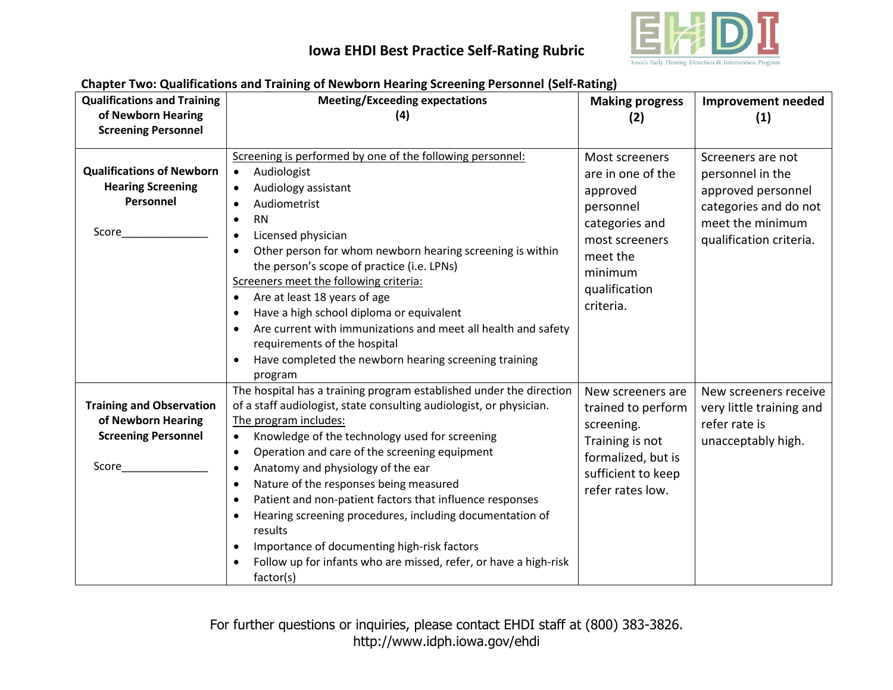

| <b>Qualifications and Training</b>                                                           | Chapter Two: Qualifications and Training of Newborn Hearing Screening Personnel (Seif-Rating)<br><b>Meeting/Exceeding expectations</b>                                                                                                                                                                                                                                                                                                                                                                                                                    |                                                                                                                                                       | Improvement needed                                                                                                                  |
|----------------------------------------------------------------------------------------------|-----------------------------------------------------------------------------------------------------------------------------------------------------------------------------------------------------------------------------------------------------------------------------------------------------------------------------------------------------------------------------------------------------------------------------------------------------------------------------------------------------------------------------------------------------------|-------------------------------------------------------------------------------------------------------------------------------------------------------|-------------------------------------------------------------------------------------------------------------------------------------|
| of Newborn Hearing                                                                           | (4)                                                                                                                                                                                                                                                                                                                                                                                                                                                                                                                                                       | <b>Making progress</b>                                                                                                                                |                                                                                                                                     |
|                                                                                              |                                                                                                                                                                                                                                                                                                                                                                                                                                                                                                                                                           | (2)                                                                                                                                                   | (1)                                                                                                                                 |
| <b>Screening Personnel</b>                                                                   |                                                                                                                                                                                                                                                                                                                                                                                                                                                                                                                                                           |                                                                                                                                                       |                                                                                                                                     |
| <b>Qualifications of Newborn</b><br><b>Hearing Screening</b><br>Personnel<br>Score           | Screening is performed by one of the following personnel:<br>Audiologist<br>$\bullet$<br>Audiology assistant<br>$\bullet$<br>Audiometrist<br><b>RN</b><br>$\bullet$<br>Licensed physician<br>$\bullet$<br>Other person for whom newborn hearing screening is within<br>$\bullet$<br>the person's scope of practice (i.e. LPNs)<br>Screeners meet the following criteria:<br>Are at least 18 years of age<br>$\bullet$                                                                                                                                     | Most screeners<br>are in one of the<br>approved<br>personnel<br>categories and<br>most screeners<br>meet the<br>minimum<br>qualification<br>criteria. | Screeners are not<br>personnel in the<br>approved personnel<br>categories and do not<br>meet the minimum<br>qualification criteria. |
|                                                                                              | Have a high school diploma or equivalent<br>$\bullet$<br>Are current with immunizations and meet all health and safety<br>$\bullet$<br>requirements of the hospital<br>Have completed the newborn hearing screening training<br>program                                                                                                                                                                                                                                                                                                                   |                                                                                                                                                       |                                                                                                                                     |
| <b>Training and Observation</b><br>of Newborn Hearing<br><b>Screening Personnel</b><br>Score | The hospital has a training program established under the direction<br>of a staff audiologist, state consulting audiologist, or physician.<br>The program includes:<br>Knowledge of the technology used for screening<br>$\bullet$<br>Operation and care of the screening equipment<br>$\bullet$<br>Anatomy and physiology of the ear<br>$\bullet$<br>Nature of the responses being measured<br>$\bullet$<br>Patient and non-patient factors that influence responses<br>$\bullet$<br>Hearing screening procedures, including documentation of<br>results | New screeners are<br>trained to perform<br>screening.<br>Training is not<br>formalized, but is<br>sufficient to keep<br>refer rates low.              | New screeners receive<br>very little training and<br>refer rate is<br>unacceptably high.                                            |
|                                                                                              | Importance of documenting high-risk factors<br>Follow up for infants who are missed, refer, or have a high-risk<br>factor(s)                                                                                                                                                                                                                                                                                                                                                                                                                              |                                                                                                                                                       |                                                                                                                                     |

#### **Chapter Two: Qualifications and Training of Newborn Hearing Screening Personnel (Self-Rating)**

For further questions or inquiries, please contact EHDI staff at (800) 383-3826. http://www.idph.iowa.gov/ehdi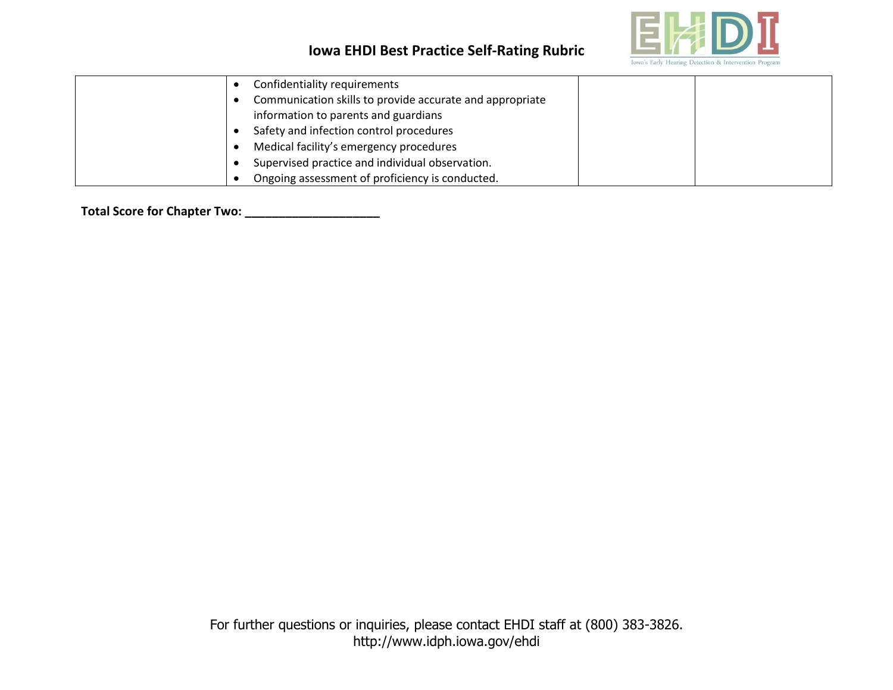

| Confidentiality requirements                             |  |
|----------------------------------------------------------|--|
| Communication skills to provide accurate and appropriate |  |
| information to parents and guardians                     |  |
| Safety and infection control procedures                  |  |
| Medical facility's emergency procedures                  |  |
| Supervised practice and individual observation.          |  |
| Ongoing assessment of proficiency is conducted.          |  |

**Total Score for Chapter Two: \_\_\_\_\_\_\_\_\_\_\_\_\_\_\_\_\_\_\_\_**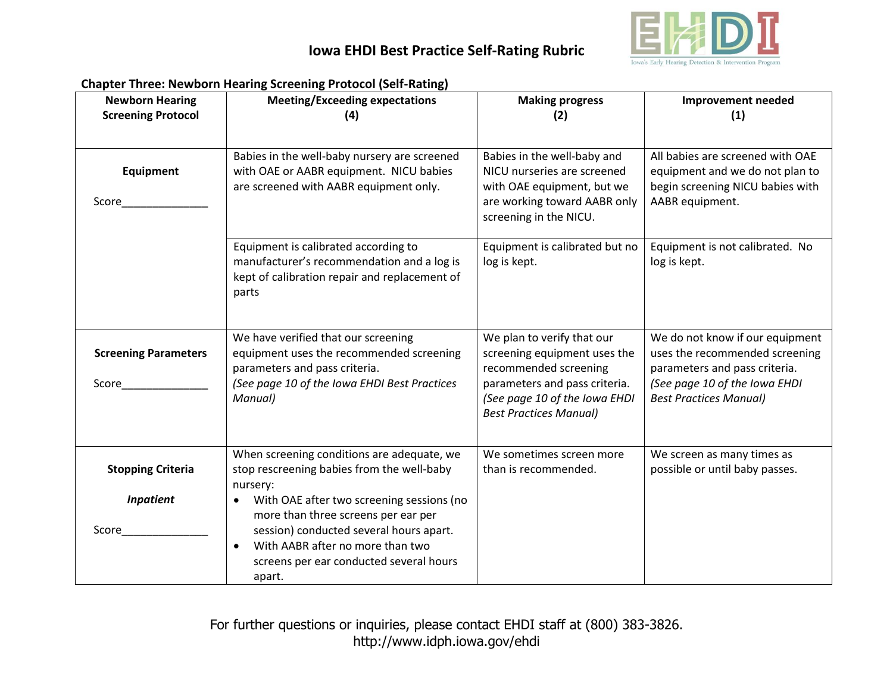

| <b>Newborn Hearing</b><br><b>Screening Protocol</b> | <b>Meeting/Exceeding expectations</b><br>(4)                                                                                                                                                                                                   | <b>Making progress</b><br>(2)                                                                                                                                                          | <b>Improvement needed</b><br>(1)                                                                                                                                     |
|-----------------------------------------------------|------------------------------------------------------------------------------------------------------------------------------------------------------------------------------------------------------------------------------------------------|----------------------------------------------------------------------------------------------------------------------------------------------------------------------------------------|----------------------------------------------------------------------------------------------------------------------------------------------------------------------|
|                                                     |                                                                                                                                                                                                                                                |                                                                                                                                                                                        |                                                                                                                                                                      |
| <b>Equipment</b><br>Score                           | Babies in the well-baby nursery are screened<br>with OAE or AABR equipment. NICU babies<br>are screened with AABR equipment only.                                                                                                              | Babies in the well-baby and<br>NICU nurseries are screened<br>with OAE equipment, but we<br>are working toward AABR only<br>screening in the NICU.                                     | All babies are screened with OAE<br>equipment and we do not plan to<br>begin screening NICU babies with<br>AABR equipment.                                           |
|                                                     | Equipment is calibrated according to<br>manufacturer's recommendation and a log is<br>kept of calibration repair and replacement of<br>parts                                                                                                   | Equipment is calibrated but no<br>log is kept.                                                                                                                                         | Equipment is not calibrated. No<br>log is kept.                                                                                                                      |
| <b>Screening Parameters</b><br>Score                | We have verified that our screening<br>equipment uses the recommended screening<br>parameters and pass criteria.<br>(See page 10 of the Iowa EHDI Best Practices<br>Manual)                                                                    | We plan to verify that our<br>screening equipment uses the<br>recommended screening<br>parameters and pass criteria.<br>(See page 10 of the Iowa EHDI<br><b>Best Practices Manual)</b> | We do not know if our equipment<br>uses the recommended screening<br>parameters and pass criteria.<br>(See page 10 of the Iowa EHDI<br><b>Best Practices Manual)</b> |
| <b>Stopping Criteria</b>                            | When screening conditions are adequate, we<br>stop rescreening babies from the well-baby<br>nursery:                                                                                                                                           | We sometimes screen more<br>than is recommended.                                                                                                                                       | We screen as many times as<br>possible or until baby passes.                                                                                                         |
| <b>Inpatient</b><br>Score                           | With OAE after two screening sessions (no<br>$\bullet$<br>more than three screens per ear per<br>session) conducted several hours apart.<br>With AABR after no more than two<br>$\bullet$<br>screens per ear conducted several hours<br>apart. |                                                                                                                                                                                        |                                                                                                                                                                      |

#### **Chapter Three: Newborn Hearing Screening Protocol (Self-Rating)**

For further questions or inquiries, please contact EHDI staff at (800) 383-3826. http://www.idph.iowa.gov/ehdi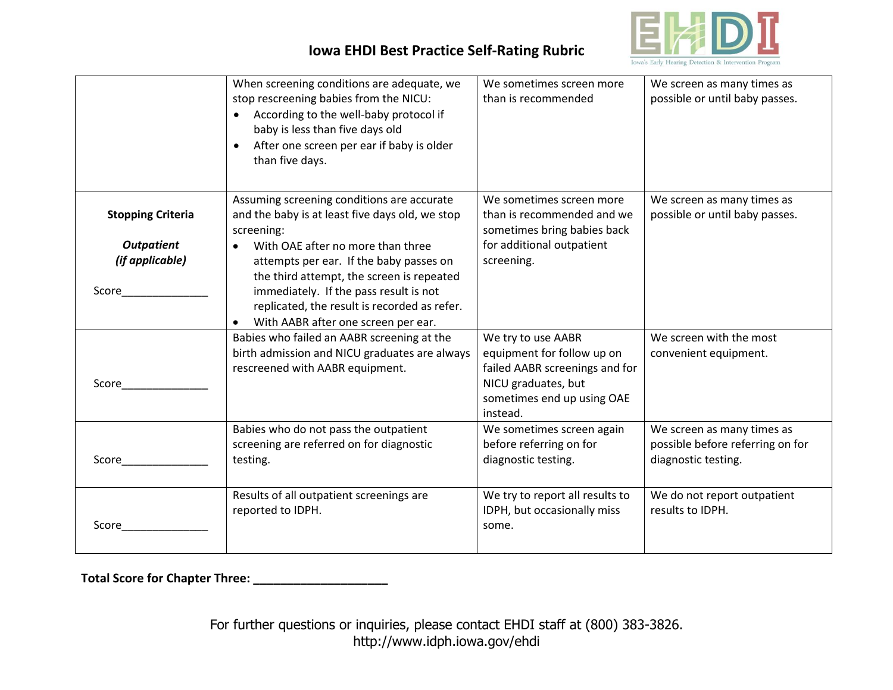

|                                               | When screening conditions are adequate, we<br>stop rescreening babies from the NICU:<br>According to the well-baby protocol if<br>baby is less than five days old<br>After one screen per ear if baby is older<br>$\bullet$<br>than five days. | We sometimes screen more<br>than is recommended                                                                                                     | We screen as many times as<br>possible or until baby passes.                          |
|-----------------------------------------------|------------------------------------------------------------------------------------------------------------------------------------------------------------------------------------------------------------------------------------------------|-----------------------------------------------------------------------------------------------------------------------------------------------------|---------------------------------------------------------------------------------------|
| <b>Stopping Criteria</b><br><b>Outpatient</b> | Assuming screening conditions are accurate<br>and the baby is at least five days old, we stop<br>screening:<br>With OAE after no more than three                                                                                               | We sometimes screen more<br>than is recommended and we<br>sometimes bring babies back<br>for additional outpatient                                  | We screen as many times as<br>possible or until baby passes.                          |
| (if applicable)<br>Score                      | attempts per ear. If the baby passes on<br>the third attempt, the screen is repeated<br>immediately. If the pass result is not<br>replicated, the result is recorded as refer.<br>With AABR after one screen per ear.                          | screening.                                                                                                                                          |                                                                                       |
| Score                                         | Babies who failed an AABR screening at the<br>birth admission and NICU graduates are always<br>rescreened with AABR equipment.                                                                                                                 | We try to use AABR<br>equipment for follow up on<br>failed AABR screenings and for<br>NICU graduates, but<br>sometimes end up using OAE<br>instead. | We screen with the most<br>convenient equipment.                                      |
| Score                                         | Babies who do not pass the outpatient<br>screening are referred on for diagnostic<br>testing.                                                                                                                                                  | We sometimes screen again<br>before referring on for<br>diagnostic testing.                                                                         | We screen as many times as<br>possible before referring on for<br>diagnostic testing. |
| Score                                         | Results of all outpatient screenings are<br>reported to IDPH.                                                                                                                                                                                  | We try to report all results to<br>IDPH, but occasionally miss<br>some.                                                                             | We do not report outpatient<br>results to IDPH.                                       |

**Total Score for Chapter Three: \_\_\_\_\_\_\_\_\_\_\_\_\_\_\_\_\_\_\_\_**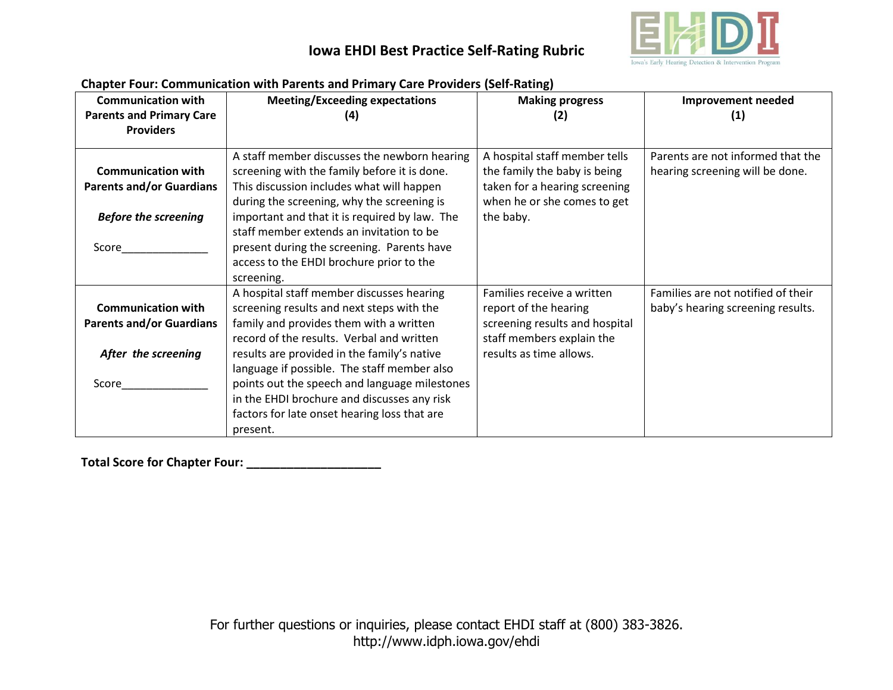

| Chapter Four: Communication with Parents and Primary Care Providers (Seif-Kathig) |                                               |                                |                                    |  |
|-----------------------------------------------------------------------------------|-----------------------------------------------|--------------------------------|------------------------------------|--|
| <b>Communication with</b>                                                         | <b>Meeting/Exceeding expectations</b>         | <b>Making progress</b>         | <b>Improvement needed</b>          |  |
| <b>Parents and Primary Care</b>                                                   | (4)                                           | (2)                            | (1)                                |  |
| <b>Providers</b>                                                                  |                                               |                                |                                    |  |
|                                                                                   |                                               |                                |                                    |  |
|                                                                                   | A staff member discusses the newborn hearing  | A hospital staff member tells  | Parents are not informed that the  |  |
| <b>Communication with</b>                                                         | screening with the family before it is done.  | the family the baby is being   | hearing screening will be done.    |  |
|                                                                                   |                                               |                                |                                    |  |
| <b>Parents and/or Guardians</b>                                                   | This discussion includes what will happen     | taken for a hearing screening  |                                    |  |
|                                                                                   | during the screening, why the screening is    | when he or she comes to get    |                                    |  |
| <b>Before the screening</b>                                                       | important and that it is required by law. The | the baby.                      |                                    |  |
|                                                                                   | staff member extends an invitation to be      |                                |                                    |  |
| Score                                                                             | present during the screening. Parents have    |                                |                                    |  |
|                                                                                   | access to the EHDI brochure prior to the      |                                |                                    |  |
|                                                                                   | screening.                                    |                                |                                    |  |
|                                                                                   | A hospital staff member discusses hearing     | Families receive a written     | Families are not notified of their |  |
| <b>Communication with</b>                                                         | screening results and next steps with the     | report of the hearing          | baby's hearing screening results.  |  |
| <b>Parents and/or Guardians</b>                                                   | family and provides them with a written       | screening results and hospital |                                    |  |
|                                                                                   | record of the results. Verbal and written     | staff members explain the      |                                    |  |
| After the screening                                                               | results are provided in the family's native   | results as time allows.        |                                    |  |
|                                                                                   | language if possible. The staff member also   |                                |                                    |  |
| Score                                                                             | points out the speech and language milestones |                                |                                    |  |
|                                                                                   | in the EHDI brochure and discusses any risk   |                                |                                    |  |
|                                                                                   | factors for late onset hearing loss that are  |                                |                                    |  |
|                                                                                   | present.                                      |                                |                                    |  |

#### **Chapter Four: Communication with Parents and Primary Care Providers (Self-Rating)**

**Total Score for Chapter Four: \_\_\_\_\_\_\_\_\_\_\_\_\_\_\_\_\_\_\_\_**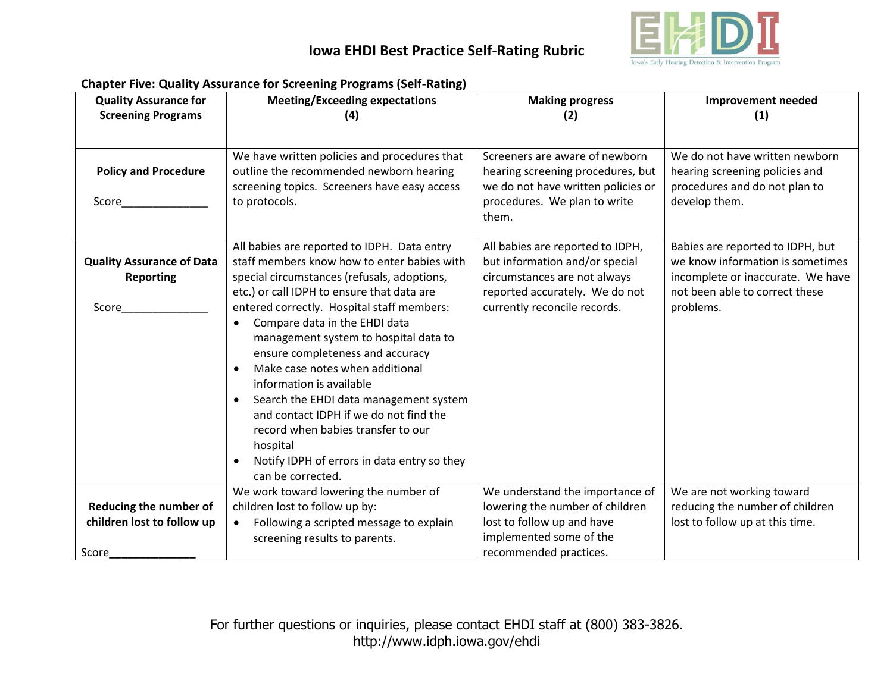

|                                  | Chapter Five: Quality Assurance for Screening Programs (Sen-Kating)<br><b>Meeting/Exceeding expectations</b> |                                    |                                   |
|----------------------------------|--------------------------------------------------------------------------------------------------------------|------------------------------------|-----------------------------------|
| <b>Quality Assurance for</b>     |                                                                                                              | <b>Making progress</b>             | <b>Improvement needed</b>         |
| <b>Screening Programs</b>        | (4)                                                                                                          | (2)                                | (1)                               |
|                                  |                                                                                                              |                                    |                                   |
|                                  | We have written policies and procedures that                                                                 | Screeners are aware of newborn     | We do not have written newborn    |
| <b>Policy and Procedure</b>      | outline the recommended newborn hearing                                                                      | hearing screening procedures, but  | hearing screening policies and    |
|                                  | screening topics. Screeners have easy access                                                                 | we do not have written policies or | procedures and do not plan to     |
|                                  |                                                                                                              |                                    |                                   |
| Score                            | to protocols.                                                                                                | procedures. We plan to write       | develop them.                     |
|                                  |                                                                                                              | them.                              |                                   |
|                                  |                                                                                                              |                                    |                                   |
|                                  | All babies are reported to IDPH. Data entry                                                                  | All babies are reported to IDPH,   | Babies are reported to IDPH, but  |
| <b>Quality Assurance of Data</b> | staff members know how to enter babies with                                                                  | but information and/or special     | we know information is sometimes  |
| <b>Reporting</b>                 | special circumstances (refusals, adoptions,                                                                  | circumstances are not always       | incomplete or inaccurate. We have |
|                                  | etc.) or call IDPH to ensure that data are                                                                   | reported accurately. We do not     | not been able to correct these    |
| Score                            | entered correctly. Hospital staff members:                                                                   | currently reconcile records.       | problems.                         |
|                                  | Compare data in the EHDI data<br>$\bullet$                                                                   |                                    |                                   |
|                                  | management system to hospital data to                                                                        |                                    |                                   |
|                                  | ensure completeness and accuracy                                                                             |                                    |                                   |
|                                  | Make case notes when additional<br>$\bullet$                                                                 |                                    |                                   |
|                                  | information is available                                                                                     |                                    |                                   |
|                                  | Search the EHDI data management system<br>$\bullet$                                                          |                                    |                                   |
|                                  | and contact IDPH if we do not find the                                                                       |                                    |                                   |
|                                  | record when babies transfer to our                                                                           |                                    |                                   |
|                                  | hospital                                                                                                     |                                    |                                   |
|                                  | Notify IDPH of errors in data entry so they                                                                  |                                    |                                   |
|                                  | can be corrected.                                                                                            |                                    |                                   |
|                                  | We work toward lowering the number of                                                                        | We understand the importance of    | We are not working toward         |
| Reducing the number of           | children lost to follow up by:                                                                               | lowering the number of children    | reducing the number of children   |
| children lost to follow up       | Following a scripted message to explain<br>$\bullet$                                                         | lost to follow up and have         | lost to follow up at this time.   |
|                                  |                                                                                                              | implemented some of the            |                                   |
|                                  | screening results to parents.                                                                                |                                    |                                   |
| Score                            |                                                                                                              | recommended practices.             |                                   |

#### **Chapter Five: Quality Assurance for Screening Programs (Self-Rating)**